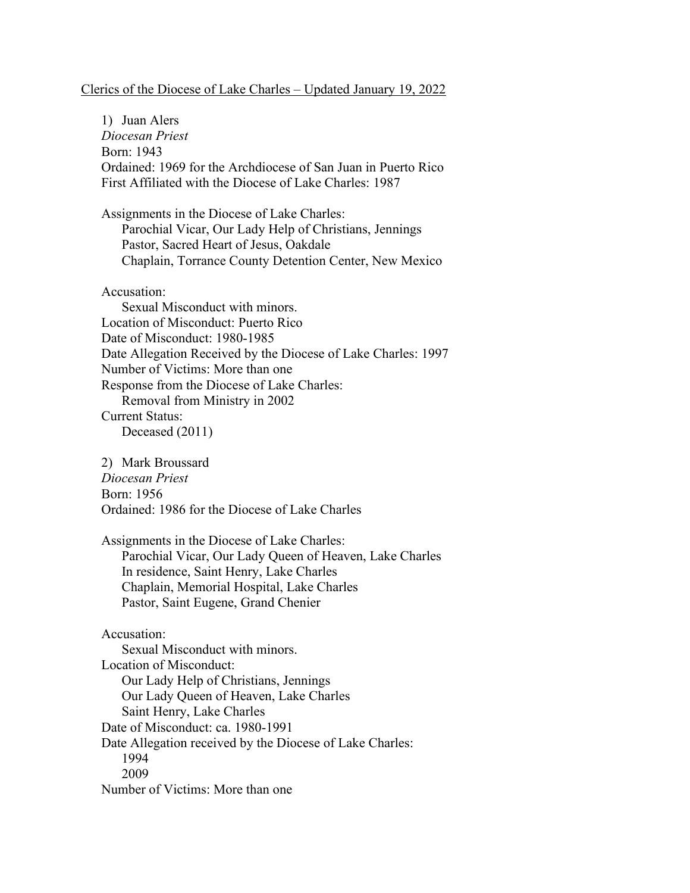## Clerics of the Diocese of Lake Charles – Updated January 19, 2022

1) Juan Alers *Diocesan Priest* Born: 1943 Ordained: 1969 for the Archdiocese of San Juan in Puerto Rico First Affiliated with the Diocese of Lake Charles: 1987 Assignments in the Diocese of Lake Charles: Parochial Vicar, Our Lady Help of Christians, Jennings Pastor, Sacred Heart of Jesus, Oakdale Chaplain, Torrance County Detention Center, New Mexico Accusation: Sexual Misconduct with minors. Location of Misconduct: Puerto Rico Date of Misconduct: 1980-1985 Date Allegation Received by the Diocese of Lake Charles: 1997 Number of Victims: More than one Response from the Diocese of Lake Charles: Removal from Ministry in 2002 Current Status: Deceased (2011) 2) Mark Broussard *Diocesan Priest* Born: 1956 Ordained: 1986 for the Diocese of Lake Charles Assignments in the Diocese of Lake Charles: Parochial Vicar, Our Lady Queen of Heaven, Lake Charles In residence, Saint Henry, Lake Charles Chaplain, Memorial Hospital, Lake Charles Pastor, Saint Eugene, Grand Chenier Accusation: Sexual Misconduct with minors. Location of Misconduct: Our Lady Help of Christians, Jennings Our Lady Queen of Heaven, Lake Charles

Saint Henry, Lake Charles Date of Misconduct: ca. 1980-1991

Date Allegation received by the Diocese of Lake Charles:

1994 2009

Number of Victims: More than one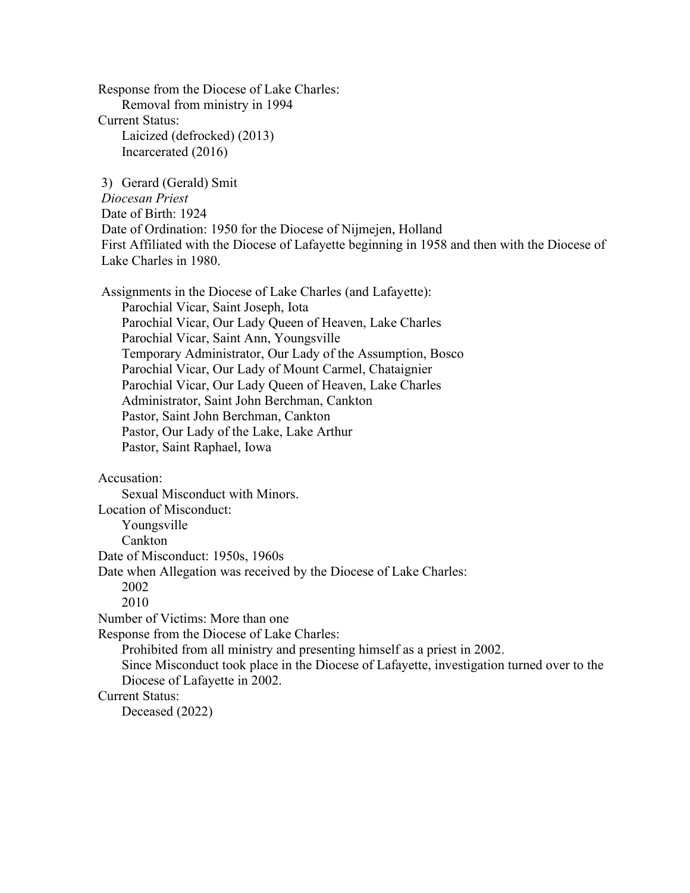Response from the Diocese of Lake Charles: Removal from ministry in 1994 Current Status: Laicized (defrocked) (2013) Incarcerated (2016)

3) Gerard (Gerald) Smit *Diocesan Priest* Date of Birth: 1924 Date of Ordination: 1950 for the Diocese of Nijmejen, Holland First Affiliated with the Diocese of Lafayette beginning in 1958 and then with the Diocese of Lake Charles in 1980.

Assignments in the Diocese of Lake Charles (and Lafayette): Parochial Vicar, Saint Joseph, Iota Parochial Vicar, Our Lady Queen of Heaven, Lake Charles Parochial Vicar, Saint Ann, Youngsville Temporary Administrator, Our Lady of the Assumption, Bosco Parochial Vicar, Our Lady of Mount Carmel, Chataignier Parochial Vicar, Our Lady Queen of Heaven, Lake Charles Administrator, Saint John Berchman, Cankton Pastor, Saint John Berchman, Cankton Pastor, Our Lady of the Lake, Lake Arthur Pastor, Saint Raphael, Iowa

Accusation:

Sexual Misconduct with Minors.

Location of Misconduct:

Youngsville

Cankton

Date of Misconduct: 1950s, 1960s

Date when Allegation was received by the Diocese of Lake Charles:

2002

2010

Number of Victims: More than one

Response from the Diocese of Lake Charles:

Prohibited from all ministry and presenting himself as a priest in 2002.

Since Misconduct took place in the Diocese of Lafayette, investigation turned over to the Diocese of Lafayette in 2002.

Current Status:

Deceased (2022)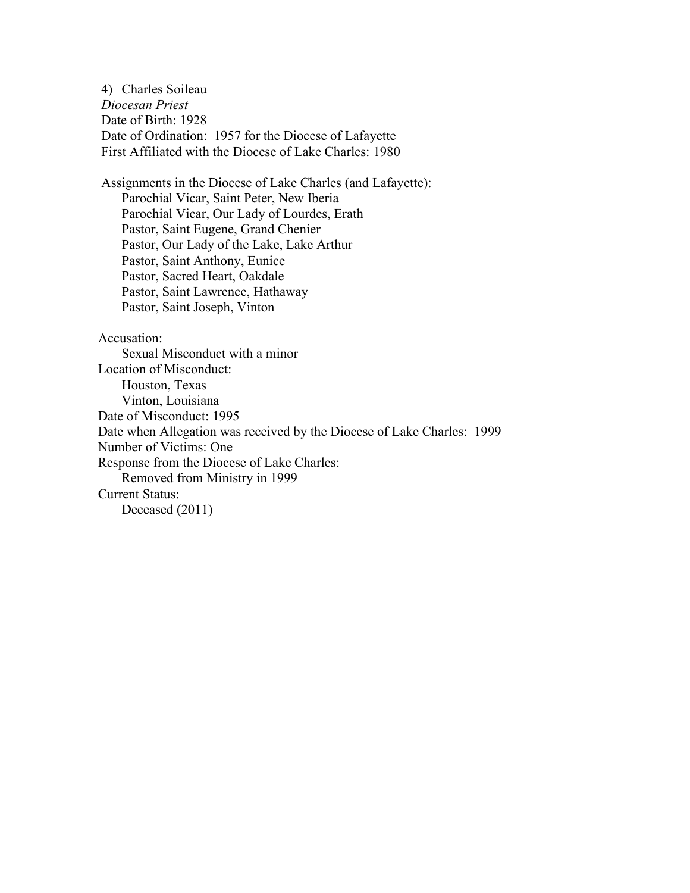4) Charles Soileau *Diocesan Priest* Date of Birth: 1928 Date of Ordination: 1957 for the Diocese of Lafayette First Affiliated with the Diocese of Lake Charles: 1980

Assignments in the Diocese of Lake Charles (and Lafayette): Parochial Vicar, Saint Peter, New Iberia Parochial Vicar, Our Lady of Lourdes, Erath Pastor, Saint Eugene, Grand Chenier Pastor, Our Lady of the Lake, Lake Arthur Pastor, Saint Anthony, Eunice Pastor, Sacred Heart, Oakdale Pastor, Saint Lawrence, Hathaway Pastor, Saint Joseph, Vinton

Accusation:

 Sexual Misconduct with a minor Location of Misconduct: Houston, Texas Vinton, Louisiana Date of Misconduct: 1995 Date when Allegation was received by the Diocese of Lake Charles: 1999 Number of Victims: One Response from the Diocese of Lake Charles: Removed from Ministry in 1999 Current Status: Deceased (2011)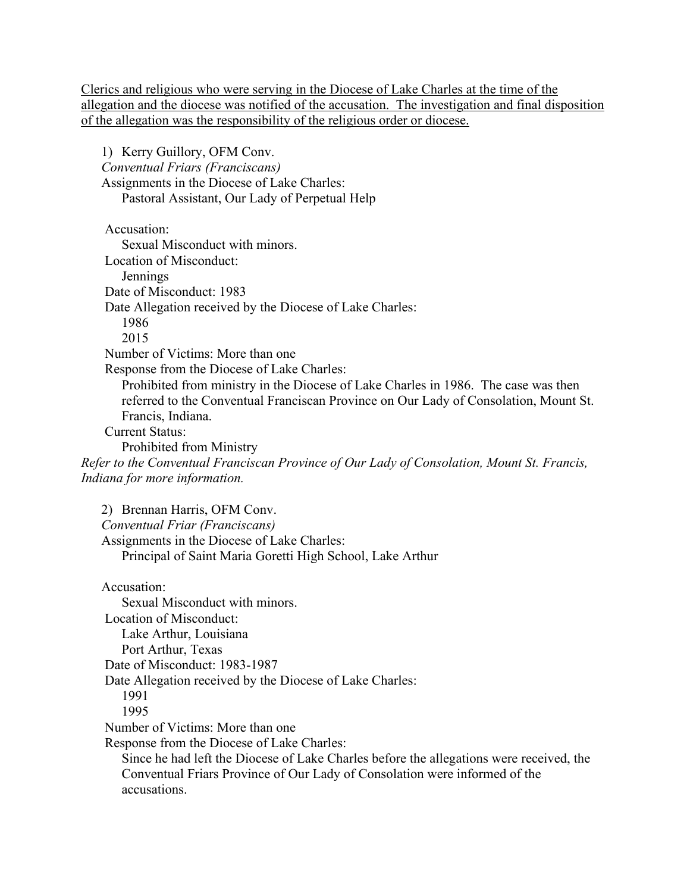Clerics and religious who were serving in the Diocese of Lake Charles at the time of the allegation and the diocese was notified of the accusation. The investigation and final disposition of the allegation was the responsibility of the religious order or diocese.

1) Kerry Guillory, OFM Conv. *Conventual Friars (Franciscans)* Assignments in the Diocese of Lake Charles: Pastoral Assistant, Our Lady of Perpetual Help Accusation: Sexual Misconduct with minors. Location of Misconduct: **Jennings**  Date of Misconduct: 1983 Date Allegation received by the Diocese of Lake Charles: 1986 2015 Number of Victims: More than one Response from the Diocese of Lake Charles: Prohibited from ministry in the Diocese of Lake Charles in 1986. The case was then referred to the Conventual Franciscan Province on Our Lady of Consolation, Mount St. Francis, Indiana. Current Status: Prohibited from Ministry *Refer to the Conventual Franciscan Province of Our Lady of Consolation, Mount St. Francis, Indiana for more information.* 2) Brennan Harris, OFM Conv. *Conventual Friar (Franciscans)* Assignments in the Diocese of Lake Charles: Principal of Saint Maria Goretti High School, Lake Arthur Accusation: Sexual Misconduct with minors. Location of Misconduct: Lake Arthur, Louisiana Port Arthur, Texas Date of Misconduct: 1983-1987 Date Allegation received by the Diocese of Lake Charles: 1991 1995 Number of Victims: More than one Response from the Diocese of Lake Charles: Since he had left the Diocese of Lake Charles before the allegations were received, the

Conventual Friars Province of Our Lady of Consolation were informed of the accusations.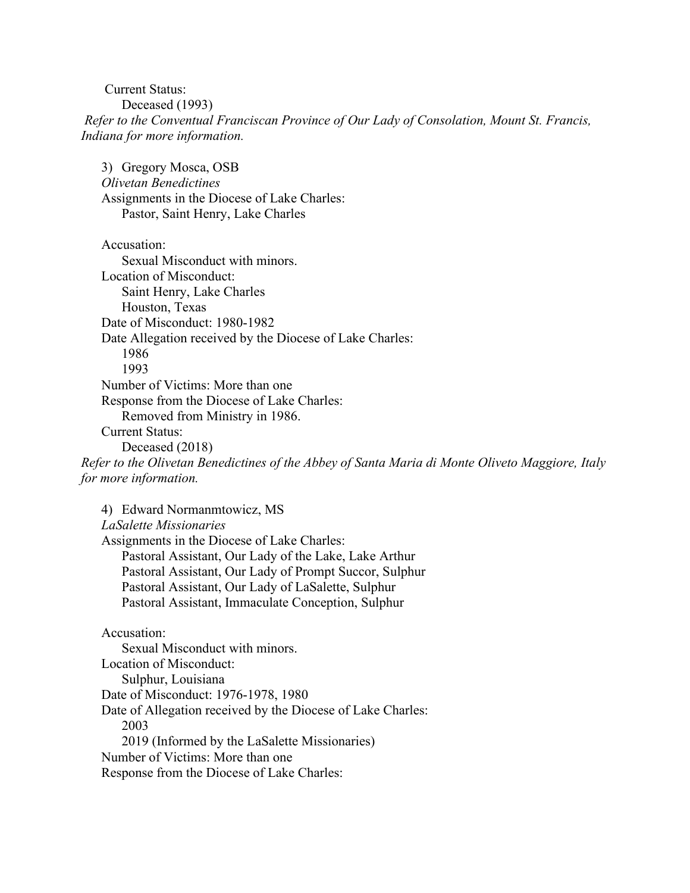Current Status: Deceased (1993) *Refer to the Conventual Franciscan Province of Our Lady of Consolation, Mount St. Francis, Indiana for more information.*

3) Gregory Mosca, OSB *Olivetan Benedictines* Assignments in the Diocese of Lake Charles: Pastor, Saint Henry, Lake Charles

Accusation: Sexual Misconduct with minors. Location of Misconduct: Saint Henry, Lake Charles Houston, Texas Date of Misconduct: 1980-1982 Date Allegation received by the Diocese of Lake Charles: 1986 1993 Number of Victims: More than one Response from the Diocese of Lake Charles: Removed from Ministry in 1986. Current Status: Deceased (2018) *Refer to the Olivetan Benedictines of the Abbey of Santa Maria di Monte Oliveto Maggiore, Italy for more information.*

4) Edward Normanmtowicz, MS *LaSalette Missionaries* Assignments in the Diocese of Lake Charles: Pastoral Assistant, Our Lady of the Lake, Lake Arthur Pastoral Assistant, Our Lady of Prompt Succor, Sulphur Pastoral Assistant, Our Lady of LaSalette, Sulphur Pastoral Assistant, Immaculate Conception, Sulphur Accusation: Sexual Misconduct with minors. Location of Misconduct: Sulphur, Louisiana Date of Misconduct: 1976-1978, 1980 Date of Allegation received by the Diocese of Lake Charles: 2003

2019 (Informed by the LaSalette Missionaries)

Number of Victims: More than one

Response from the Diocese of Lake Charles: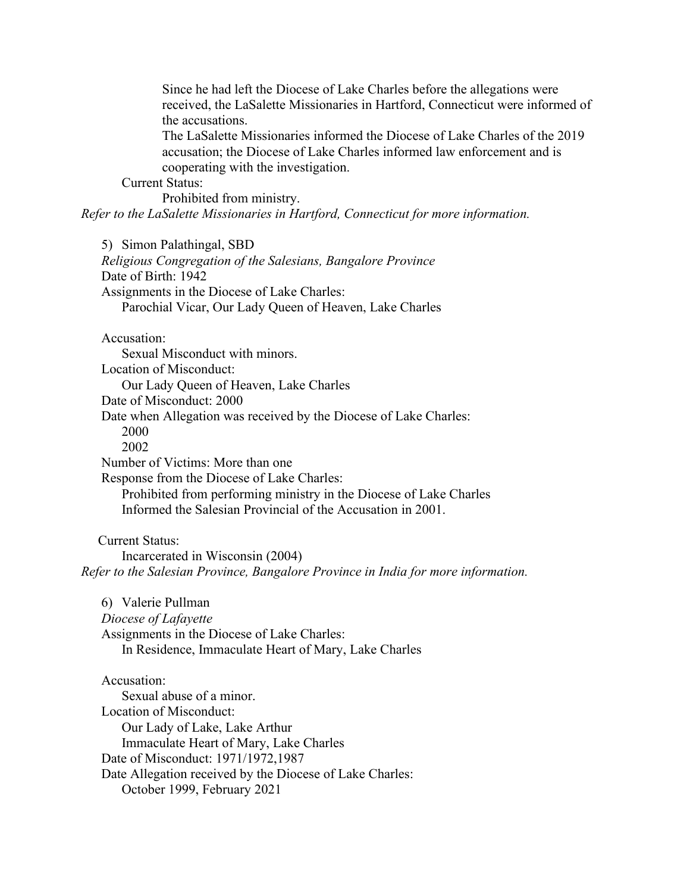Since he had left the Diocese of Lake Charles before the allegations were received, the LaSalette Missionaries in Hartford, Connecticut were informed of the accusations.

The LaSalette Missionaries informed the Diocese of Lake Charles of the 2019 accusation; the Diocese of Lake Charles informed law enforcement and is cooperating with the investigation.

Current Status:

Prohibited from ministry. *Refer to the LaSalette Missionaries in Hartford, Connecticut for more information.*

5) Simon Palathingal, SBD

*Religious Congregation of the Salesians, Bangalore Province* Date of Birth: 1942 Assignments in the Diocese of Lake Charles: Parochial Vicar, Our Lady Queen of Heaven, Lake Charles

Accusation:

Sexual Misconduct with minors. Location of Misconduct: Our Lady Queen of Heaven, Lake Charles Date of Misconduct: 2000 Date when Allegation was received by the Diocese of Lake Charles: 2000 2002 Number of Victims: More than one Response from the Diocese of Lake Charles: Prohibited from performing ministry in the Diocese of Lake Charles Informed the Salesian Provincial of the Accusation in 2001.

 Current Status: Incarcerated in Wisconsin (2004) *Refer to the Salesian Province, Bangalore Province in India for more information.*

6) Valerie Pullman *Diocese of Lafayette* Assignments in the Diocese of Lake Charles: In Residence, Immaculate Heart of Mary, Lake Charles

Accusation: Sexual abuse of a minor. Location of Misconduct: Our Lady of Lake, Lake Arthur Immaculate Heart of Mary, Lake Charles Date of Misconduct: 1971/1972,1987 Date Allegation received by the Diocese of Lake Charles: October 1999, February 2021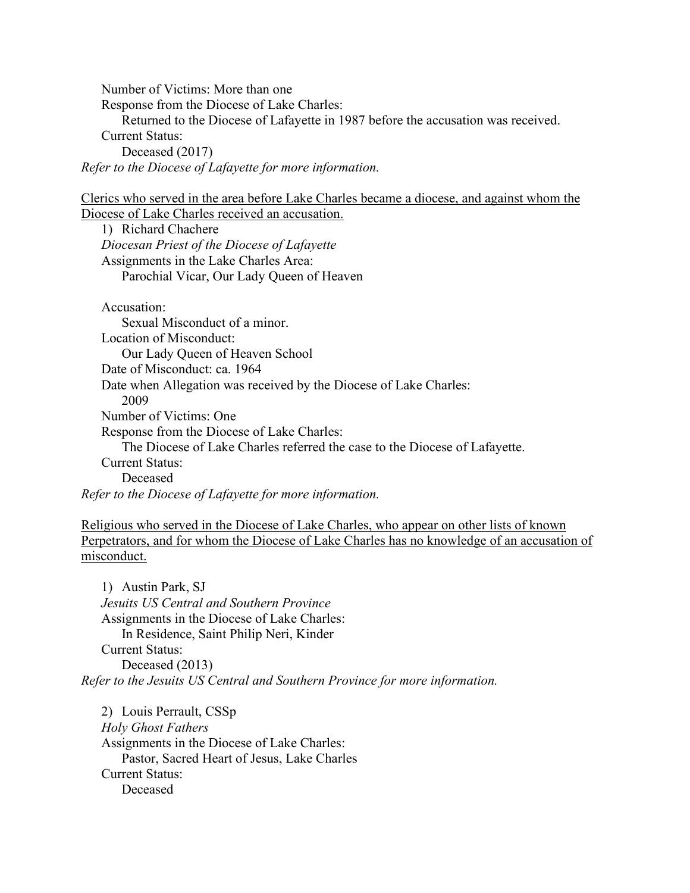Number of Victims: More than one Response from the Diocese of Lake Charles: Returned to the Diocese of Lafayette in 1987 before the accusation was received. Current Status: Deceased (2017) *Refer to the Diocese of Lafayette for more information.*

Clerics who served in the area before Lake Charles became a diocese, and against whom the Diocese of Lake Charles received an accusation.

1) Richard Chachere *Diocesan Priest of the Diocese of Lafayette* Assignments in the Lake Charles Area: Parochial Vicar, Our Lady Queen of Heaven

Accusation: Sexual Misconduct of a minor. Location of Misconduct: Our Lady Queen of Heaven School Date of Misconduct: ca. 1964 Date when Allegation was received by the Diocese of Lake Charles: 2009 Number of Victims: One Response from the Diocese of Lake Charles: The Diocese of Lake Charles referred the case to the Diocese of Lafayette. Current Status: Deceased *Refer to the Diocese of Lafayette for more information.*

Religious who served in the Diocese of Lake Charles, who appear on other lists of known Perpetrators, and for whom the Diocese of Lake Charles has no knowledge of an accusation of misconduct.

1) Austin Park, SJ *Jesuits US Central and Southern Province* Assignments in the Diocese of Lake Charles: In Residence, Saint Philip Neri, Kinder Current Status: Deceased (2013) *Refer to the Jesuits US Central and Southern Province for more information.*

2) Louis Perrault, CSSp *Holy Ghost Fathers* Assignments in the Diocese of Lake Charles: Pastor, Sacred Heart of Jesus, Lake Charles Current Status: Deceased